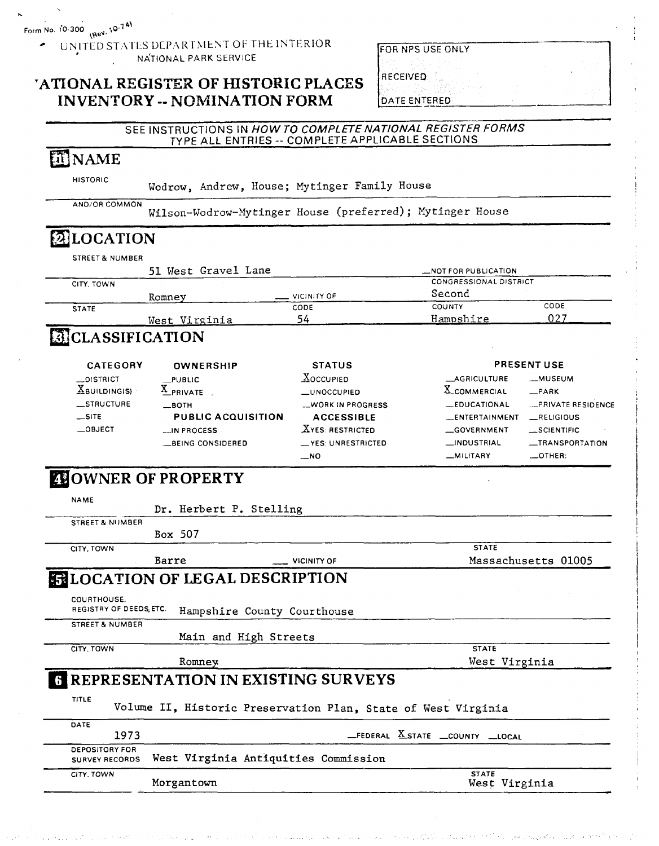UNITED STATES DEPARTMENT OF THE INTERIOR NATIONAL PARK SERVICE

### **'ATIONAL REGISTER OF HISTORIC PLACES INVENTORY -- NOMINATION FORM**

|  | FOR NPS USE ONLY |
|--|------------------|

DATE ENTERED

**f RECEIVED 1** 

#### SEE INSTRUCTIONS IN **HOWTO COMPLETENATIONAL REGISTER FORMS**  TYPE ALL ENTRIES -- COMPLETE APPLICABLE SECTIONS

# **ET NAME**

HISTORIC

Wodrow, Andrew, House; Mytinger Family House

AND/OR COMMON Wilson-Wodrow-Mytinger House (preferred); Mytinger House

### **ELOCATION** STREET & NUMBER 51 West Gravel Lane - Notice - Notice - Notice PUBLICATION CITY. TOWN CONGRESSIONAL DISTRICT

|              | 51 West Gravel Lane |                    | _NOT FOR PUBLICATION   |      |  |
|--------------|---------------------|--------------------|------------------------|------|--|
| CITY, TOWN   |                     |                    | CONGRESSIONAL DISTRICT |      |  |
|              | Romney              | $\sim$ VICINITY OF | Second                 |      |  |
| <b>STATE</b> |                     | CODE               | <b>COUNTY</b>          | CODE |  |
|              | West Virginia       | 54                 | Hampshire              | 027  |  |
|              |                     |                    |                        |      |  |

## **CLASSIFICATION**

| <b>CATEGORY</b>                           | OWNERSHIP                                       | <b>STATUS</b>                                |                                              | <b>PRESENT USE</b>           |
|-------------------------------------------|-------------------------------------------------|----------------------------------------------|----------------------------------------------|------------------------------|
| __DISTRICT<br>$\underline{X}$ BUILDING(S) | $_{\perp}$ PUBLIC<br>$A$ PRIVATE                | $X$ OCCUPIED<br>LUNOCCUPIED                  | __AGRICULTURE<br>X_COMMERCIAL                | _MUSEUM<br>$-PARK$           |
| <b>STRUCTURE</b>                          | $\equiv$ BOTH                                   | WORK IN PROGRESS                             | LEDUCATIONAL                                 | <b>EXPRIVATE RESIDENCE</b>   |
| $\equiv$ SITE<br>$\equiv$ OBJECT          | <b>PUBLIC ACQUISITION</b><br><b>LIN PROCESS</b> | <b>ACCESSIBLE</b><br><b>XYES: RESTRICTED</b> | <b>LENTERTAINMENT</b><br>$\equiv$ GOVERNMENT | RELIGIOUS<br>$\_$ SCIENTIFIC |
|                                           | BEING CONSIDERED                                | <b>VES UNRESTRICTED</b>                      | <b>__INDUSTRIAL</b>                          | -TRANSPORTATION              |
|                                           |                                                 | $-$ NO                                       | _MILITARY                                    | $\leftarrow$ OTHER:          |

## **ZOWNER OF PROPERTY**

| <b>NAME</b>                                    |                         |                                                               |                                         |
|------------------------------------------------|-------------------------|---------------------------------------------------------------|-----------------------------------------|
|                                                | Dr. Herbert P. Stelling |                                                               |                                         |
| <b>STREET &amp; NUMBER</b>                     |                         |                                                               |                                         |
|                                                | Box 507                 |                                                               |                                         |
| CITY, TOWN                                     |                         |                                                               | <b>STATE</b>                            |
|                                                | Barre                   | VICINITY OF                                                   | Massachusetts 01005                     |
|                                                |                         | <b>ENLOCATION OF LEGAL DESCRIPTION</b>                        |                                         |
| COURTHOUSE.<br>REGISTRY OF DEEDS.ETC.          |                         | Hampshire County Courthouse                                   |                                         |
| <b>STREET &amp; NUMBER</b>                     |                         |                                                               |                                         |
|                                                |                         | Main and High Streets                                         |                                         |
| CITY, TOWN                                     |                         |                                                               | <b>STATE</b>                            |
|                                                | Romney                  |                                                               | West Virginia                           |
|                                                |                         | <b>REPRESENTATION IN EXISTING SURVEYS</b>                     |                                         |
| TITLE                                          |                         | Volume II, Historic Preservation Plan, State of West Virginia |                                         |
| DATE<br>1973                                   |                         |                                                               | $EEDERAL$ $X$ state $L$ county $Llocal$ |
| <b>DEPOSITORY FOR</b><br><b>SURVEY RECORDS</b> |                         | West Virginia Antiquities Commission                          |                                         |
| CITY. TOWN                                     | Morgantown              |                                                               | <b>STATE</b><br>West Virginia           |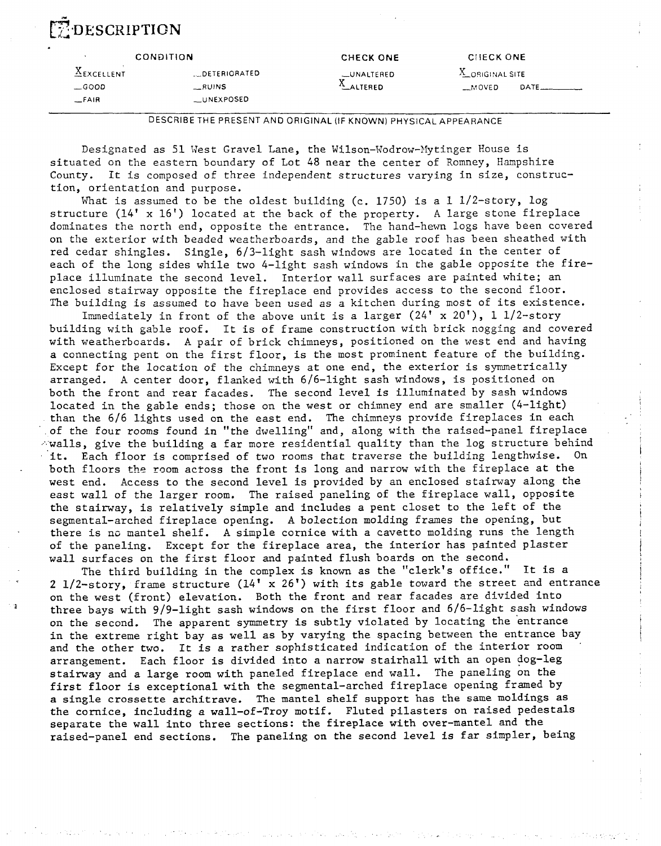# **ZDESCRIPTION**

|                       | <b>CONDITION</b> | <b>CHECK ONE</b> | <b>CHECK ONE</b>  |  |
|-----------------------|------------------|------------------|-------------------|--|
| $\triangle$ EXCELLENT | DETERIORATED     | _UNALTERED       | X_ORIGINAL SITE   |  |
| $\equiv$ GOOD         | $-RUNS$          | $A$ ALTERED      | $M$ OVED<br>DATE. |  |
| $-FA$ <sub>IR</sub>   | __UNEXPOSED      |                  |                   |  |
|                       |                  |                  |                   |  |

DESCRIBE THE PRESENT AND ORIGINAL (IF KNOWN) PHYSICAL APPEARANCE

Designated as 51 West Gravel Lane, the Wilson-Wodrow-Mytinger House is situated on the eastern boundary of Lot 48 near the center of Romney, Hampshire County. It is composed of three independent structures varying in size, construction, orientation and purpose.

What is assumed to be the oldest building (c. 1750) is a  $1\frac{1}{2}$ -story, log structure (14' x 16') located at the back of the property. **A** lzrge stone fireplace dominates the north end, opposite the entrance. The hand-hewn logs have been covered on the exterior with beaded weatherboards, and the gable roof has been sheathed with red cedar shingles. Single, 613-light sash windows are located in the center of each of the long sides while two 4-light sash windows in the gable opposite the fireplace illuminate the second level. Interior wall surfaces are painted white; an enclosed stairway opposite the fireplace end provides access to the second floor. The building is assumed to have been used as a kitchen during most of its existence.

Immediately in front of the above unit is a larger (24' x 20'), 1 1/2-story building with gable roof. It is of frame construction with brick nogging and covered with weatherboards. A pair of brick chimneys, positioned on the west end and having a connecting pent on the first floor, is the most prominent feature of the building. Except for the location of the chimneys at one end, the exterior is symmetrically arranged. A center door, flanked with 6/6-light sash windows, is positioned on both the front and rear facades. The second level is illuminated by sash windows located in the gable ends; those on the west or chimney end are smaller (4-light) than the 6/6 lights used on the east end. The chimneys provide fireplaces in each of the four rooms found in "the dwelling" and, along with the raised-panel fireplace  $\sim$  walls, give the building a far more residential quality than the log structure behind it. Each floor is comprised of two rooms that traverse the building lengthwise. On both floors the room across the front is long and narrow with the fireplace at the west end. Access to the second level is provided by an enclosed stairway along the east wall of the larger room. The raised paneling of the fireplace wall, opposite the stairway, is relatively simple and includes a pent closet to the left of the segmental-arched fireplace opening. **A** bolection molding frames the opening, but there is no mantel shelf. **A** simple cornice with a cavetto molding runs the length of the paneling. Except for the fireplace area, the interior has painted plaster wall surfaces on the first floor and painted flush boards on the second.

The third building in the complex is known as the "clerk's office." It is a **2** 1/2-story, frame structure (14' x 26') with its gable toward the street and entrance on the west (front) elevation. Both the front and rear facades are divided into three bays with 9/9-light sash windows on the first floor and 6/6-light sash windows on the second. The apparent symmetry is subtly violated by locating the 'entrance in the extreme right bay as well as by varying the spacing between the entrance bay and the other two. It is a rather sophisticated indication of the interior room arrangement. Each floor is divided into a narrow stairhall with an open dog-leg stairway and a large room with paneled fireplace end wall. The paneling on the first floor is exceptional with the segmental-arched fireplace opening framed by a single crossette architrave. **The** mantel shelf support has the same moldings as the cornice, including a wall-of-Troy motif. Fluted pilasters on raised pedestals separate the wall into three sections: the fireplace with over-mantel and the raised-panel end sections. The paneling on the second level is far simpler, being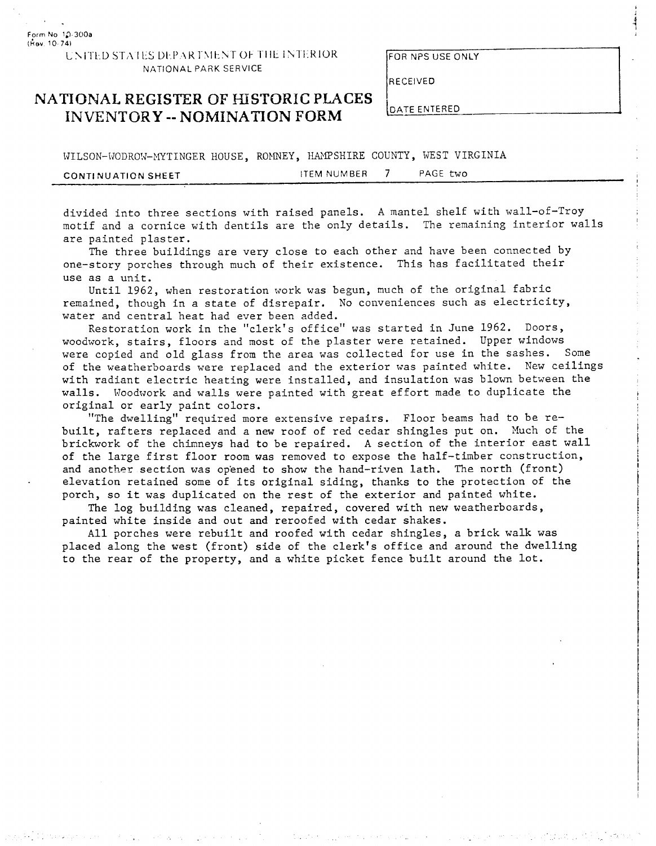**Form No** I.? **300a (Aov** 10 **741** 

#### UNITED STATES DEPARTMENT OF THE INTERIOR NATIONAL PARK SERVICE

FOR NPS **USE** ONLY

### **NATIONAL REGISTER OF HISTORIC PLACES** INVENTORY -- **NOMINATION FOKM**

WILSON-WODROW-MYTINGER HOUSE, ROMNEY, HAMPSHIRE COUNTY, WEST VIRGINIA CONTINUATION SHEET **ITEM NUMBER** 7 PAGE two

FOR NPS USE ONLY<br>
RECEIVED<br>
DATE ENTERED<br>
UNTY, WEST VIRGINIA<br>
7 PAGE two<br>
mantel shelf with wall-of-Troy<br>
Ils. The remaining interior walls<br>
Pr and have been connected by<br>
This has facilitated their divided into three sections with raised panels. **A** mantel shelf with wall-of-Troy motif and a cornice with dentils are the only details. The remaining interior walls are painted plaster.

The three buildings are very close to each other and have been connected by one-story porches through much of their existence. This has facilitated their use as a unit.

Until 1962, when restoration work was begun, much of the original fabric remained, though in a state of disrepair. No conveniences such as electricity, water and central heat had ever been added.

Restoration work in the "clerk's office" was started in June 1962. Doors, woodwork, stairs, floors and most of the plaster were retained. Upper windows were copied and old glass from the area was collected for use in the sashes. Some of the weatherboards were replaced and the exterior was painted white. New ceilings with radiant electric heating were installed, and insulation was blown between the walls. Woodwork and walls were painted with great effort made to duplicate the original or early paint colors.

"The dwelling'' required more extensive repairs. Floor beams had to be rebuilt, rafters replaced and a new roof of red cedar shingles put on. Nuch of the brickwork of the chimneys had to be repaired. **A** section of the interior east wall of the large first floor room was removed to expose the half-timber construction, and another section was op'ened to show the hand-riven lath. The north (front) elevation retained some of its original siding, thanks to the protection of the porch, so it was duplicated on the rest of the exterior and painted white.

The log building was cleaned, repaired, covered with new weatherboards, painted white inside and out and reroofed with cedar shakes.

All porches were rebuilt and roofed with cedar shingles, a brick walk was placed along the west (front) side of the clerk's office and around the dwelling to the rear of the property, and a white picket fence built around the lot.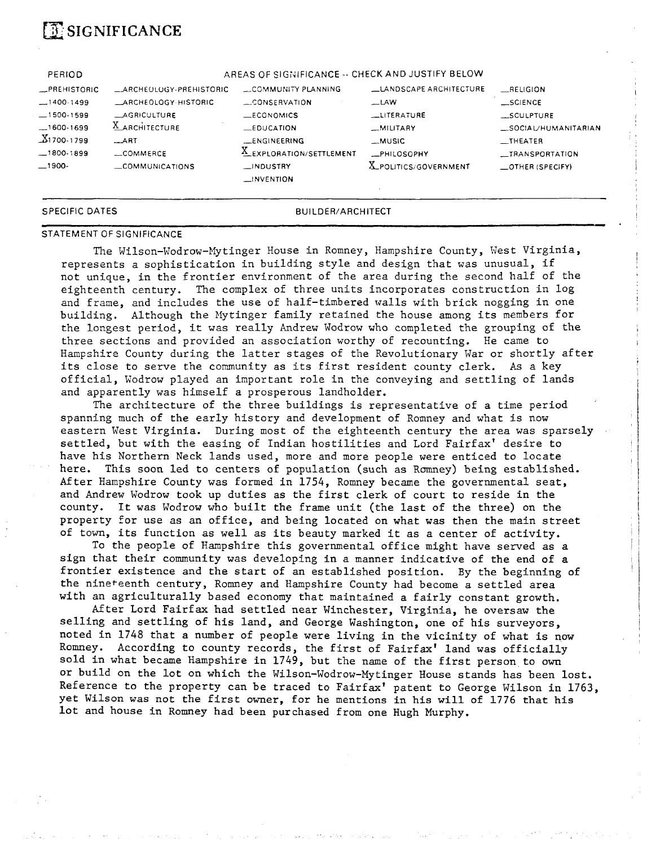# **SIGNIFICANCE**

| SPECIFIC DATES      |                          | <b>BUILDER/ARCHITECT</b>                         |                              |                          |
|---------------------|--------------------------|--------------------------------------------------|------------------------------|--------------------------|
|                     |                          | $\equiv$ INVENTION                               |                              |                          |
| $-1900-$            | COMMUNICATIONS           | $\Box$ INDUSTRY                                  | <b>X_POLITICS/GOVERNMENT</b> | $\equiv$ OTHER (SPECIFY) |
| $-1800.1899$        | $_{\text{---}}$ COMMERCE | X_EXPLORATION/SETTLEMENT                         | <b>_PHILOSOPHY</b>           | __TRANSPORTATION         |
| $X1700-1799$        | $-ART$                   | <b>LENGINEERING</b>                              | _MUSIC                       | $_{\text{THEATER}}$      |
| $-1600-1699$        | <b>X</b> ARCHITECTURE    | $\equiv$ EDUCATION                               | $-MILITARY$                  | _SOCIAL/HUMANITARIAN     |
| $-1500-1599$        | <b>LAGRICULTURE</b>      | $\_ECONOMICS$                                    | LITERATURE                   | SCULPTURE                |
| $-1400.1499$        | LARCHEOLOGY-HISTORIC     | CONSERVATION                                     | $-LAW$                       | $\_SCIENCE$              |
| <b>_PREHISTORIC</b> | ARCHEOLOGY-PREHISTORIC   | COMMUNITY PLANNING                               | LANDSCAPE ARCHITECTURE       | RELIGION                 |
| PERIOD              |                          | AREAS OF SIGNIFICANCE -- CHECK AND JUSTIFY BELOW |                              |                          |

#### STATEMENT OF SIGNIFICANCE

The Wilson-Wodrow-Mytinger House in Romney, Hampshire County, West Virginia, represents a sophistication in building style and design that was unusual, if not unique, in the frontier environment of the area during the second half of the eighteenth century. The complex of three units incorporates construction in log and frame, and includes the use of half-timbered walls with brick nogging in one building. Although the Mytinger family retained the house among its members for the longest period, it was really Andrew Wodrow who completed the grouping of the three sections and provided an association worthy of recounting. He came to Hampshire County during the latter stages of the Revolutionary War or shortly after its close to serve the community as its first resident county clerk. **As** a key official, Wodrow played an important role in the conveying and settling of lands and apparently was himself a prosperous landholder.

The architecture of the three buildings is representative of a time period spanning much of the early history and development of Romney and what is now eastern West Virginia. During most of the eighteenth century the area was sparsely settled, but with the easing of Indian hostilities and Lord Fairfax' desire to have his Northern Neck lands used, more and more people were enticed to locate here. This soon led to centers of population (such as Romney) being established. After Hampshire County was formed in 1754, Romney became the governmental seat, and Andrew Wodrow took up duties as the first clerk of court to reside in the county. It was Wodrow who built the frame unit (the last of the three) on the property for use as an office, and being located on what was then the main street of town, its function as well as its beauty marked it as a center of activity.

To the people of Hampshire this governmental office might have served as a sign that their community was developing in a manner indicative of the end of a frontier existence and the start of an established position. By the beginning of the nineteenth century, Romney and Hampshire County had become a settled area with an agriculturally based economy that maintained a fairly constant growth.

After Lord Fairfax had settled near Winchester, Virginia, he oversaw the selling and settling of his land, and George Washington, one of his surveyors, noted in 1748 that a number of people were living in the vicinity of what is now Romney. According to county records, the first of Fairfax' land was officially sold in what became Hampshire in 1749, but the name of the first person to own or build on the lot on which the Wilson-Wodrow-Mytinger House stands has been lost. Reference to the property can be traced to Fairfax' patent to George Wilson in 1763, yet Wilson was not the first owner, for he mentions in his will of 1776 that his lot and house in Romney had been purchased from one Hugh Murphy.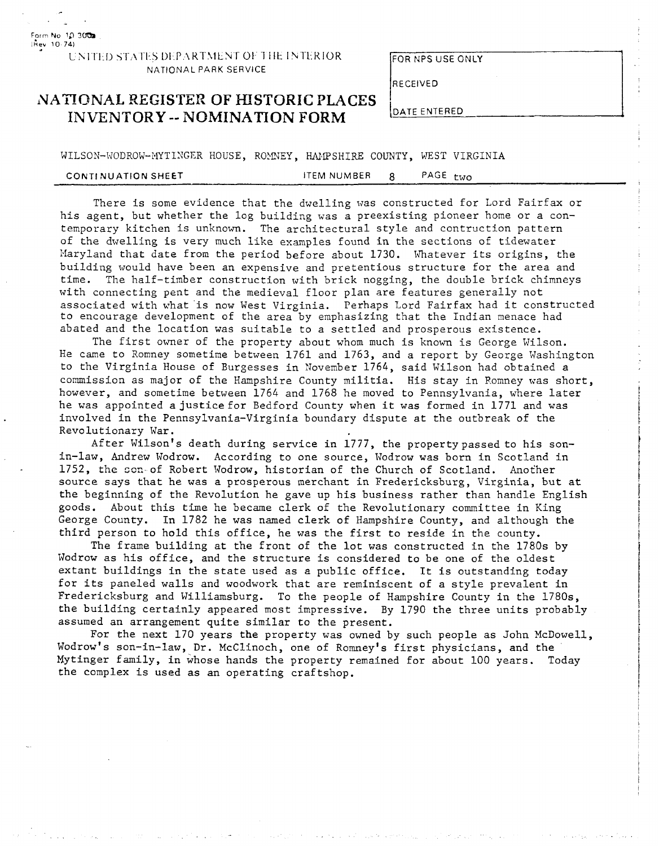UNITED STATES DEPARTMENT OF THE INTERIOR NATIONAL PARK SERVICE

Form No **10** 3 **lkev 10 741** 

**FOR NPS USE ONLY** 

 $\mathbf{I}$ 

RECEIVED

### **NATIONAL REGISTER OF HISTORIC PLACES INVENTORY -- NOMINATION FORM**

WILSON-WODROW-MYTINGER HOUSE, ROMNEY, HAMPSHIRE COUNTY, WEST VIRGINIA

| PAGE two<br>ITEM NUMBER<br><b>CONTINUATION SHEET</b> |  |
|------------------------------------------------------|--|
|------------------------------------------------------|--|

There is some evidence that the dwelling was constructed for Lord Fairfax or his agent, but whether the log building was a preexisting pioneer home or a contemporary kitchen is unknown. The architectural style and contruction pattern of the dwelling is very much like examples found in the sections of tidewater Maryland that date from the period before about 1730. Whatever its origins, the building would have been an expensive and pretentious structure for the area and time. The half-timber construction with brick nogging, the double brick chimneys with connecting pent and the medieval floor plan are features generally not associated with what is now West Virginia. Perhaps Lord Fairfax had it constructed to encourage development of the area by emphasizing that the Indian menace had abated and the location was suitable to a settled and prosperous existence.

The first owner of the property about whom much is known is George Wilson. He came to Romney sometime between 1761 and 1763, and a report by George Washington to the Virginia House of Burgesses in November 1764, said Wilson had obtained a commission as major of the Hampshire County militia. His stay in Romney was short, however, and sometime between 1764 and 1768 he moved to Pennsylvania, where later he was appointed ajusticefor Bedford County when it was formed in 1771 and was involved in the Pennsylvania-Virginia boundary dispute at the outbreak of the Revolutionary War.

After Wilson's death during service in 1777, the propertypassedto his sonin-law, Andrew Wodrow. According to one source, Wodrow was born in Scotland in 1752, the son-of Robert Wodrow, historian of the Church of Scotland. Another source says that he was a prosperous merchant in Fredericksburg, Virginia, but at the beginning of the Revolution he gave up his business rather than handle English goods. About this time he became clerk of the Revolutionary committee in King George County. In 1782 he was named clerk of Hampshire County, and although the third person to hold this office, he was the first to reside in the county.

The frame building at the front of the lot was constructed in the 1780s by Wodrow as his office, and the structure is considered to be one of the oldest extant buildings in the state used as a public office. It is outstanding today for its paneled walls and woodwork that are reminiscent of a style prevalent in Fredericksburg and Williamsburg. To the people of Hampshire County in the 1780s, the building certainly appeared most impressive. By 1790 the three units probably assumed an arrangement quite similar to the present.

For the next 170 years the property was owned by such people as John McDowell, Wodrow's son-in-law, Dr. McClinoch, one of Romney's first physicians, and the Mytinger family, in whose hands the property remained for about 100 years. Today the complex is used as an operating craftshop.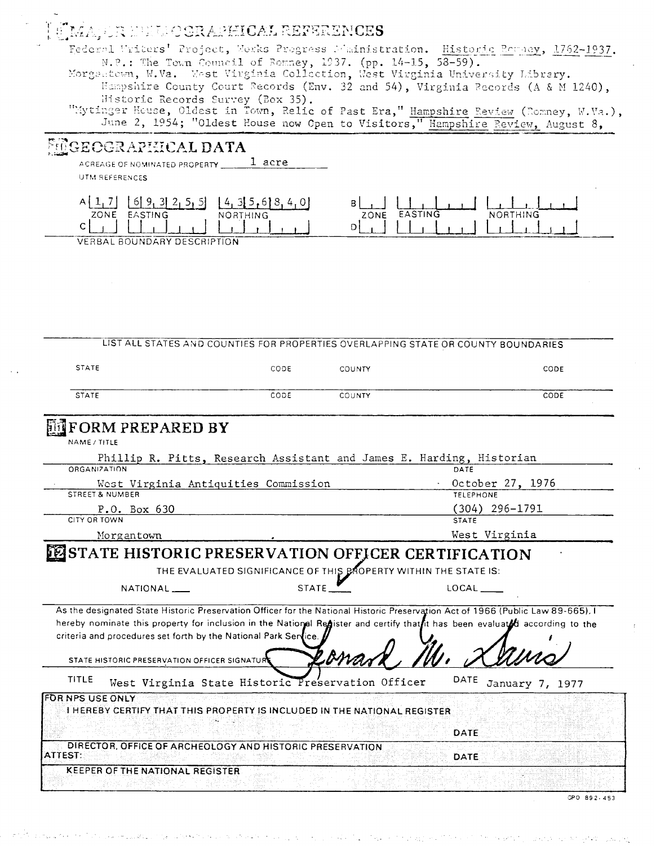### **INCORAPHICAL REFERENCES**

Federal Writers' Project, Works Progress Mainistration. Historic Persey, 1762-1937. N.P.: The Town Council of Romney, 1937. (pp. 14-15, 58-59). Morgantown, W.Va. Mest Virginia Collection, West Virginia University Library.

Hampshire County Court Records (Env. 32 and 54), Virginia Records (A & M 1240), Historic Records Survey (Box 35).

"Mytinger House, Oldest in Town, Relic of Past Era," Hampshire Review (Romney, W.Va.), June 2, 1954; "Oldest House now Open to Visitors," Hampshire Review, August 8,

### GEOGRAPHICAL DATA

1 acre ACREAGE OF NOMINATED PROPERTY

UTM REFERENCES

| _______<br>ZONE<br>EASTING<br>NORTHING | EACTING<br>ING<br>ZONE |
|----------------------------------------|------------------------|
| ⌒<br>◡                                 |                        |
| VERBAL BOUNDARY DESCRIPTION            |                        |

LIST ALL STATES AND COUNTIES FOR PROPERTIES OVERLAPPING STATE OR COUNTY BOUNDARIES **STATE** CODE COUNTY CODE **STATE** CODE COUNTY CODE **FORM PREPARED BY** NAME / TITLE Phillip R. Pitts, Research Assistant and James E. Harding, Historian **ORGANIZATION** DATE West Virginia Antiquities Commission October 27, 1976 STREET & NUMBER **TELEPHONE**  $(304)$  296-1791 P.O. Box 630 CITY OR TOWN **STATE** West Virginia Morgantown **PESTATE HISTORIC PRESERVATION OFFICER CERTIFICATION** THE EVALUATED SIGNIFICANCE OF THIS BROPERTY WITHIN THE STATE IS: NATIONAL\_ **STATE** LOCAL As the designated State Historic Preservation Officer for the National Historic Preservation Act of 1966 (Public Law 89-665), I hereby nominate this property for inclusion in the National Register and certify that it has been evaluated according to the criteria and procedures set forth by the National Park Ser ice STATE HISTORIC PRESERVATION OFFICER SIGNATUR DATE January 7, 1977 **TITLE** West Virginia State Historic Preservation Officer **FOR NPS USE ONLY** I HEREBY CERTIFY THAT THIS PROPERTY IS INCLUDED IN THE NATIONAL REGISTER DATE DIRECTOR, OFFICE OF ARCHEOLOGY AND HISTORIC PRESERVATION **ATTEST** DATE **KEEPER OF THE NATIONAL REGISTER** 

GPO 892-453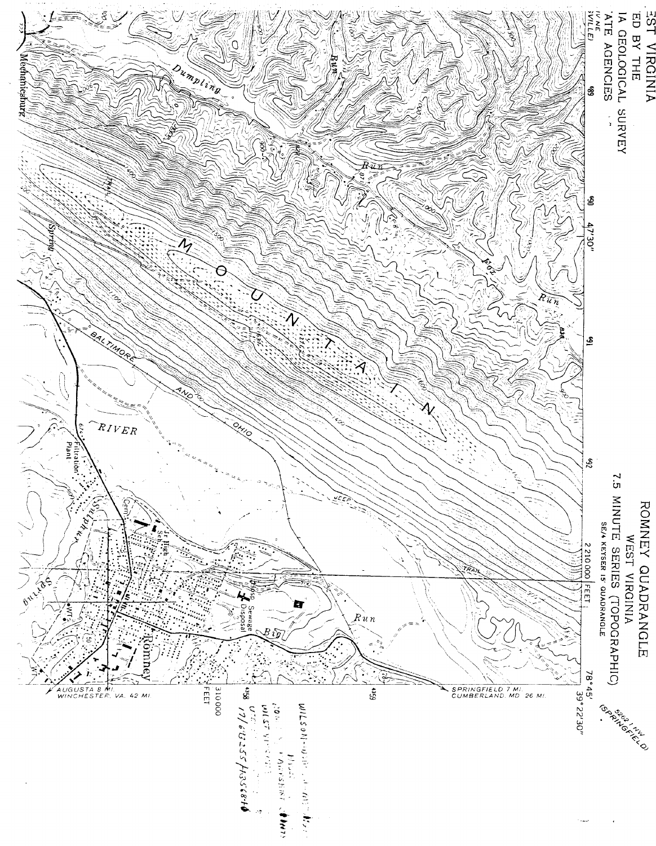